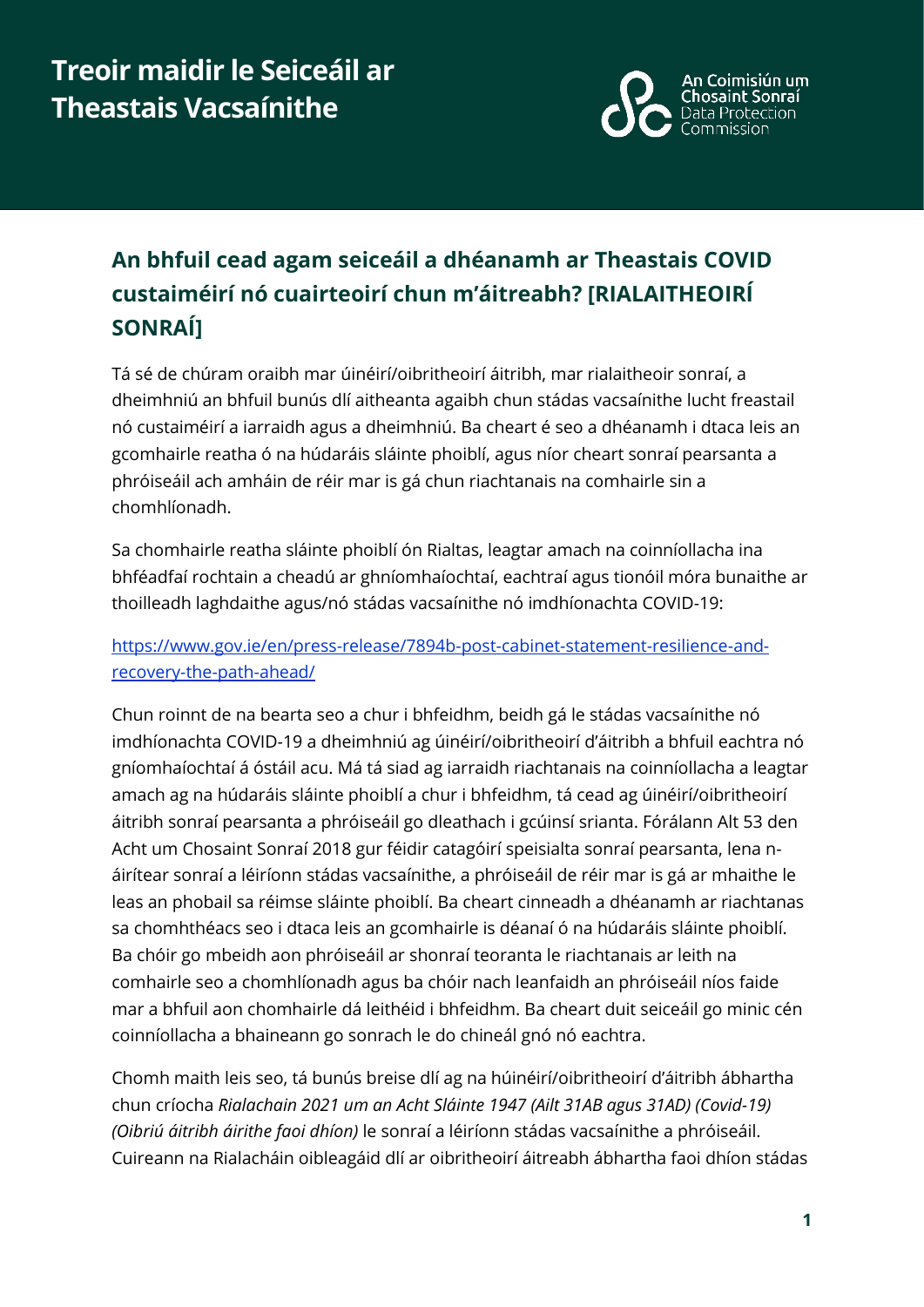

## **An bhfuil cead agam seiceáil a dhéanamh ar Theastais COVID custaiméirí nó cuairteoirí chun m'áitreabh? [RIALAITHEOIRÍ SONRAÍ]**

Tá sé de chúram oraibh mar úinéirí/oibritheoirí áitribh, mar rialaitheoir sonraí, a dheimhniú an bhfuil bunús dlí aitheanta agaibh chun stádas vacsaínithe lucht freastail nó custaiméirí a iarraidh agus a dheimhniú. Ba cheart é seo a dhéanamh i dtaca leis an gcomhairle reatha ó na húdaráis sláinte phoiblí, agus níor cheart sonraí pearsanta a phróiseáil ach amháin de réir mar is gá chun riachtanais na comhairle sin a chomhlíonadh.

Sa chomhairle reatha sláinte phoiblí ón Rialtas, leagtar amach na coinníollacha ina bhféadfaí rochtain a cheadú ar ghníomhaíochtaí, eachtraí agus tionóil móra bunaithe ar thoilleadh laghdaithe agus/nó stádas vacsaínithe nó imdhíonachta COVID-19:

[https://www.gov.ie/en/press-release/7894b-post-cabinet-statement-resilience-and](https://www.gov.ie/en/press-release/7894b-post-cabinet-statement-resilience-and-recovery-the-path-ahead/)[recovery-the-path-ahead/](https://www.gov.ie/en/press-release/7894b-post-cabinet-statement-resilience-and-recovery-the-path-ahead/)

Chun roinnt de na bearta seo a chur i bhfeidhm, beidh gá le stádas vacsaínithe nó imdhíonachta COVID-19 a dheimhniú ag úinéirí/oibritheoirí d'áitribh a bhfuil eachtra nó gníomhaíochtaí á óstáil acu. Má tá siad ag iarraidh riachtanais na coinníollacha a leagtar amach ag na húdaráis sláinte phoiblí a chur i bhfeidhm, tá cead ag úinéirí/oibritheoirí áitribh sonraí pearsanta a phróiseáil go dleathach i gcúinsí srianta. Fórálann Alt 53 den Acht um Chosaint Sonraí 2018 gur féidir catagóirí speisialta sonraí pearsanta, lena náirítear sonraí a léiríonn stádas vacsaínithe, a phróiseáil de réir mar is gá ar mhaithe le leas an phobail sa réimse sláinte phoiblí. Ba cheart cinneadh a dhéanamh ar riachtanas sa chomhthéacs seo i dtaca leis an gcomhairle is déanaí ó na húdaráis sláinte phoiblí. Ba chóir go mbeidh aon phróiseáil ar shonraí teoranta le riachtanais ar leith na comhairle seo a chomhlíonadh agus ba chóir nach leanfaidh an phróiseáil níos faide mar a bhfuil aon chomhairle dá leithéid i bhfeidhm. Ba cheart duit seiceáil go minic cén coinníollacha a bhaineann go sonrach le do chineál gnó nó eachtra.

Chomh maith leis seo, tá bunús breise dlí ag na húinéirí/oibritheoirí d'áitribh ábhartha chun críocha *Rialachain 2021 um an Acht Sláinte 1947 (Ailt 31AB agus 31AD) (Covid-19) (Oibriú áitribh áirithe faoi dhíon)* le sonraí a léiríonn stádas vacsaínithe a phróiseáil. Cuireann na Rialacháin oibleagáid dlí ar oibritheoirí áitreabh ábhartha faoi dhíon stádas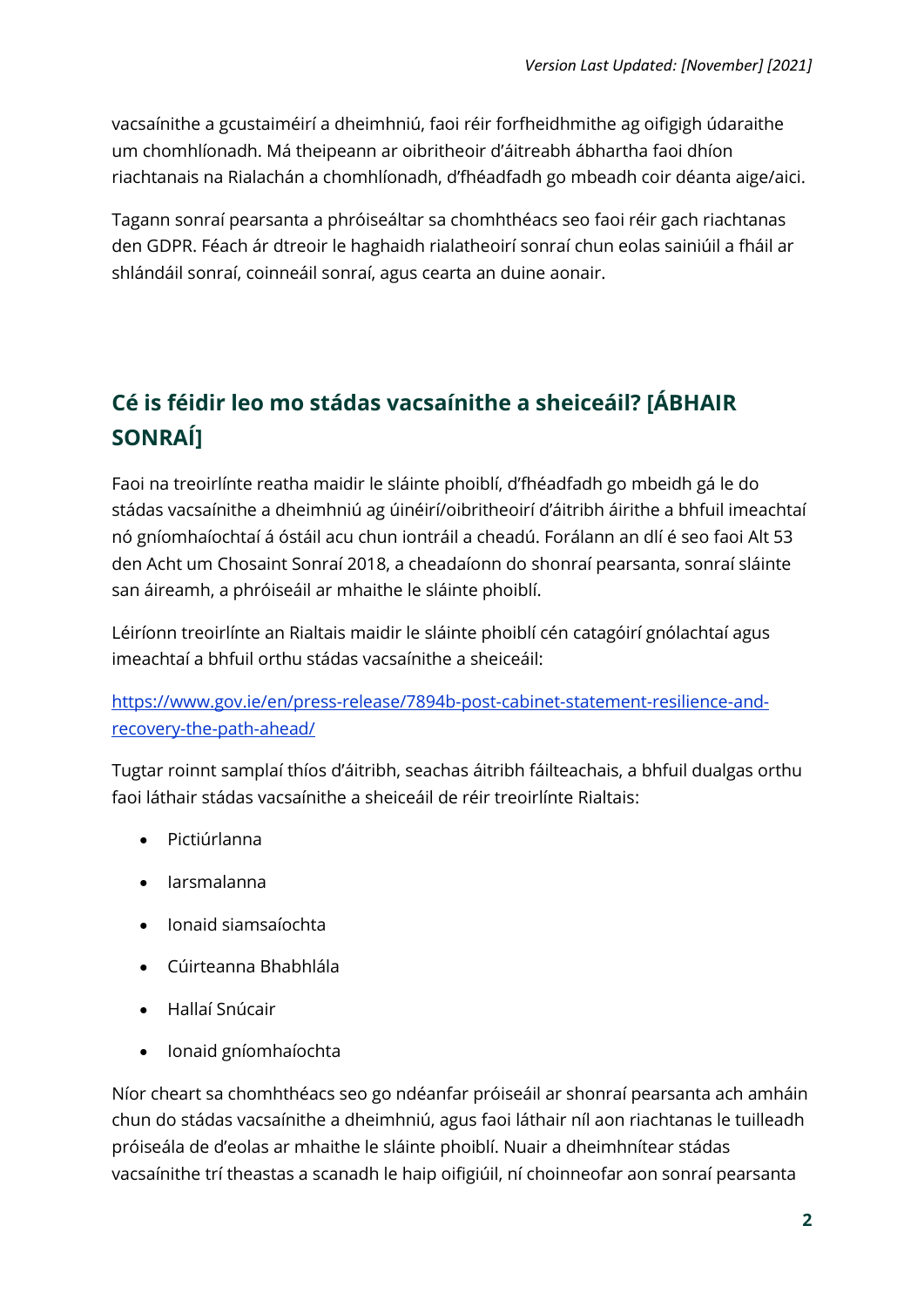vacsaínithe a gcustaiméirí a dheimhniú, faoi réir forfheidhmithe ag oifigigh údaraithe um chomhlíonadh. Má theipeann ar oibritheoir d'áitreabh ábhartha faoi dhíon riachtanais na Rialachán a chomhlíonadh, d'fhéadfadh go mbeadh coir déanta aige/aici.

Tagann sonraí pearsanta a phróiseáltar sa chomhthéacs seo faoi réir gach riachtanas den GDPR. Féach ár dtreoir le haghaidh rialatheoirí sonraí chun eolas sainiúil a fháil ar shlándáil sonraí, coinneáil sonraí, agus cearta an duine aonair.

## **Cé is féidir leo mo stádas vacsaínithe a sheiceáil? [ÁBHAIR SONRAÍ]**

Faoi na treoirlínte reatha maidir le sláinte phoiblí, d'fhéadfadh go mbeidh gá le do stádas vacsaínithe a dheimhniú ag úinéirí/oibritheoirí d'áitribh áirithe a bhfuil imeachtaí nó gníomhaíochtaí á óstáil acu chun iontráil a cheadú. Forálann an dlí é seo faoi Alt 53 den Acht um Chosaint Sonraí 2018, a cheadaíonn do shonraí pearsanta, sonraí sláinte san áireamh, a phróiseáil ar mhaithe le sláinte phoiblí.

Léiríonn treoirlínte an Rialtais maidir le sláinte phoiblí cén catagóirí gnólachtaí agus imeachtaí a bhfuil orthu stádas vacsaínithe a sheiceáil:

[https://www.gov.ie/en/press-release/7894b-post-cabinet-statement-resilience-and](https://www.gov.ie/en/press-release/7894b-post-cabinet-statement-resilience-and-recovery-the-path-ahead/)[recovery-the-path-ahead/](https://www.gov.ie/en/press-release/7894b-post-cabinet-statement-resilience-and-recovery-the-path-ahead/)

Tugtar roinnt samplaí thíos d'áitribh, seachas áitribh fáilteachais, a bhfuil dualgas orthu faoi láthair stádas vacsaínithe a sheiceáil de réir treoirlínte Rialtais:

- Pictiúrlanna
- Iarsmalanna
- Ionaid siamsaíochta
- Cúirteanna Bhabhlála
- Hallaí Snúcair
- Ionaid gníomhaíochta

Níor cheart sa chomhthéacs seo go ndéanfar próiseáil ar shonraí pearsanta ach amháin chun do stádas vacsaínithe a dheimhniú, agus faoi láthair níl aon riachtanas le tuilleadh próiseála de d'eolas ar mhaithe le sláinte phoiblí. Nuair a dheimhnítear stádas vacsaínithe trí theastas a scanadh le haip oifigiúil, ní choinneofar aon sonraí pearsanta